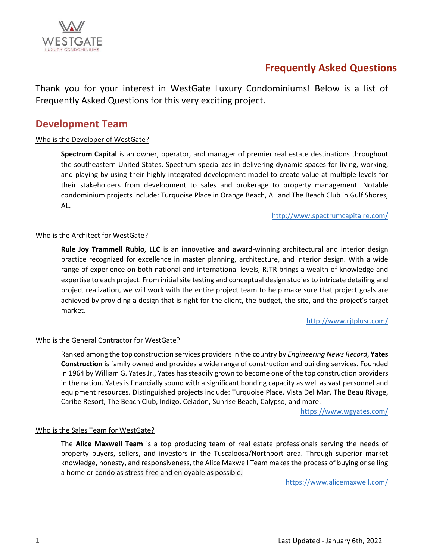

Thank you for your interest in WestGate Luxury Condominiums! Below is a list of Frequently Asked Questions for this very exciting project.

## **Development Team**

### Who is the Developer of WestGate?

**Spectrum Capital** is an owner, operator, and manager of premier real estate destinations throughout the southeastern United States. Spectrum specializes in delivering dynamic spaces for living, working, and playing by using their highly integrated development model to create value at multiple levels for their stakeholders from development to sales and brokerage to property management. Notable condominium projects include: Turquoise Place in Orange Beach, AL and The Beach Club in Gulf Shores, AL.

<http://www.spectrumcapitalre.com/>

### Who is the Architect for WestGate?

**Rule Joy Trammell Rubio, LLC** is an innovative and award-winning architectural and interior design practice recognized for excellence in master planning, architecture, and interior design. With a wide range of experience on both national and international levels, RJTR brings a wealth of knowledge and expertise to each project. From initial site testing and conceptual design studies to intricate detailing and project realization, we will work with the entire project team to help make sure that project goals are achieved by providing a design that is right for the client, the budget, the site, and the project's target market.

<http://www.rjtplusr.com/>

### Who is the General Contractor for WestGate?

Ranked among the top construction services providers in the country by *Engineering News Record*, **Yates Construction** is family owned and provides a wide range of construction and building services. Founded in 1964 by William G. Yates Jr., Yates has steadily grown to become one of the top construction providers in the nation. Yates is financially sound with a significant bonding capacity as well as vast personnel and equipment resources. Distinguished projects include: Turquoise Place, Vista Del Mar, The Beau Rivage, Caribe Resort, The Beach Club, Indigo, Celadon, Sunrise Beach, Calypso, and more.

<https://www.wgyates.com/>

### Who is the Sales Team for WestGate?

The **Alice Maxwell Team** is a top producing team of real estate professionals serving the needs of property buyers, sellers, and investors in the Tuscaloosa/Northport area. Through superior market knowledge, honesty, and responsiveness, the Alice Maxwell Team makes the process of buying or selling a home or condo as stress-free and enjoyable as possible.

<https://www.alicemaxwell.com/>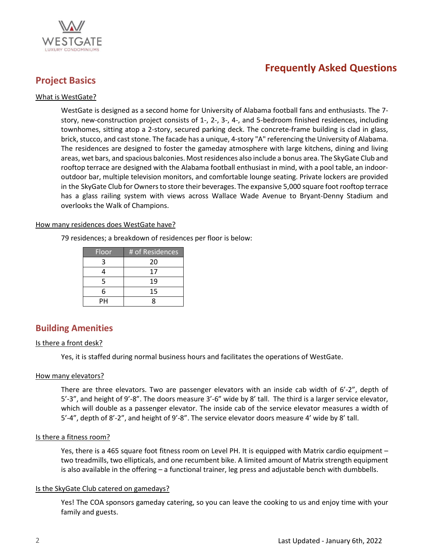

## **Project Basics**

### What is WestGate?

WestGate is designed as a second home for University of Alabama football fans and enthusiasts. The 7 story, new-construction project consists of 1-, 2-, 3-, 4-, and 5-bedroom finished residences, including townhomes, sitting atop a 2-story, secured parking deck. The concrete-frame building is clad in glass, brick, stucco, and cast stone. The facade has a unique, 4-story "A" referencing the University of Alabama. The residences are designed to foster the gameday atmosphere with large kitchens, dining and living areas, wet bars, and spacious balconies. Most residences also include a bonus area. The SkyGate Club and rooftop terrace are designed with the Alabama football enthusiast in mind, with a pool table, an indooroutdoor bar, multiple television monitors, and comfortable lounge seating. Private lockers are provided in the SkyGate Club for Ownersto store their beverages. The expansive 5,000 square foot rooftop terrace has a glass railing system with views across Wallace Wade Avenue to Bryant-Denny Stadium and overlooks the Walk of Champions.

### How many residences does WestGate have?

79 residences; a breakdown of residences per floor is below:

| Floor | # of Residences |
|-------|-----------------|
| ੨     | 20              |
|       | 17              |
| 5     | 19              |
| 6     | 15              |
| PН    |                 |

### **Building Amenities**

### Is there a front desk?

Yes, it is staffed during normal business hours and facilitates the operations of WestGate.

### How many elevators?

There are three elevators. Two are passenger elevators with an inside cab width of 6'-2", depth of 5'-3", and height of 9'-8". The doors measure 3'-6" wide by 8' tall. The third is a larger service elevator, which will double as a passenger elevator. The inside cab of the service elevator measures a width of 5'-4", depth of 8'-2", and height of 9'-8". The service elevator doors measure 4' wide by 8' tall.

### Is there a fitness room?

Yes, there is a 465 square foot fitness room on Level PH. It is equipped with Matrix cardio equipment – two treadmills, two ellipticals, and one recumbent bike. A limited amount of Matrix strength equipment is also available in the offering – a functional trainer, leg press and adjustable bench with dumbbells.

### Is the SkyGate Club catered on gamedays?

Yes! The COA sponsors gameday catering, so you can leave the cooking to us and enjoy time with your family and guests.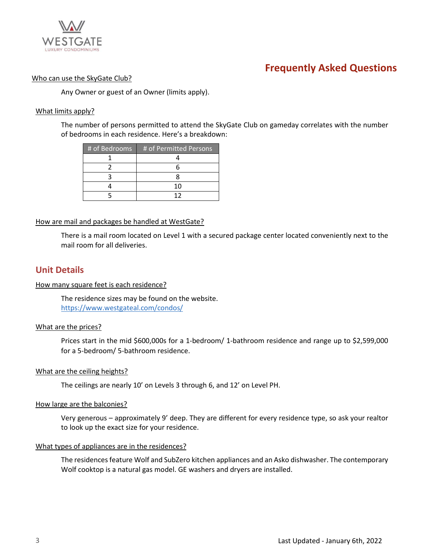

### Who can use the SkyGate Club?

Any Owner or guest of an Owner (limits apply).

### What limits apply?

The number of persons permitted to attend the SkyGate Club on gameday correlates with the number of bedrooms in each residence. Here's a breakdown:

| # of Bedrooms | # of Permitted Persons |
|---------------|------------------------|
|               |                        |
|               |                        |
|               |                        |
|               | 10                     |
|               | 17                     |

### How are mail and packages be handled at WestGate?

There is a mail room located on Level 1 with a secured package center located conveniently next to the mail room for all deliveries.

### **Unit Details**

### How many square feet is each residence?

The residence sizes may be found on the website. <https://www.westgateal.com/condos/>

### What are the prices?

Prices start in the mid \$600,000s for a 1-bedroom/ 1-bathroom residence and range up to \$2,599,000 for a 5-bedroom/ 5-bathroom residence.

### What are the ceiling heights?

The ceilings are nearly 10' on Levels 3 through 6, and 12' on Level PH.

### How large are the balconies?

Very generous – approximately 9' deep. They are different for every residence type, so ask your realtor to look up the exact size for your residence.

### What types of appliances are in the residences?

The residences feature Wolf and SubZero kitchen appliances and an Asko dishwasher. The contemporary Wolf cooktop is a natural gas model. GE washers and dryers are installed.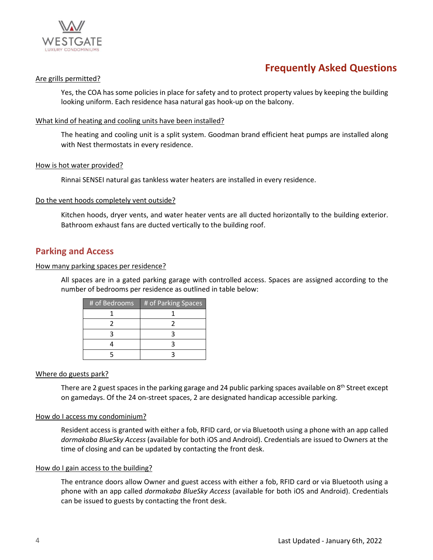

### Are grills permitted?

Yes, the COA has some policies in place for safety and to protect property values by keeping the building looking uniform. Each residence hasa natural gas hook-up on the balcony.

### What kind of heating and cooling units have been installed?

The heating and cooling unit is a split system. Goodman brand efficient heat pumps are installed along with Nest thermostats in every residence.

### How is hot water provided?

Rinnai SENSEI natural gas tankless water heaters are installed in every residence.

### Do the vent hoods completely vent outside?

Kitchen hoods, dryer vents, and water heater vents are all ducted horizontally to the building exterior. Bathroom exhaust fans are ducted vertically to the building roof.

### **Parking and Access**

### How many parking spaces per residence?

All spaces are in a gated parking garage with controlled access. Spaces are assigned according to the number of bedrooms per residence as outlined in table below:

| # of Bedrooms | # of Parking Spaces |
|---------------|---------------------|
|               |                     |
|               |                     |
|               |                     |
|               |                     |
|               |                     |

### Where do guests park?

There are 2 guest spaces in the parking garage and 24 public parking spaces available on 8<sup>th</sup> Street except on gamedays. Of the 24 on-street spaces, 2 are designated handicap accessible parking.

### How do I access my condominium?

Resident access is granted with either a fob, RFID card, or via Bluetooth using a phone with an app called *dormakaba BlueSky Access* (available for both iOS and Android). Credentials are issued to Owners at the time of closing and can be updated by contacting the front desk.

### How do I gain access to the building?

The entrance doors allow Owner and guest access with either a fob, RFID card or via Bluetooth using a phone with an app called *dormakaba BlueSky Access* (available for both iOS and Android). Credentials can be issued to guests by contacting the front desk.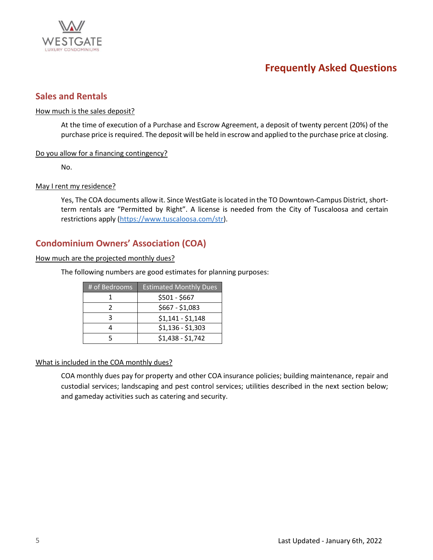

### **Sales and Rentals**

### How much is the sales deposit?

At the time of execution of a Purchase and Escrow Agreement, a deposit of twenty percent (20%) of the purchase price is required. The deposit will be held in escrow and applied to the purchase price at closing.

### Do you allow for a financing contingency?

No.

### May I rent my residence?

Yes, The COA documents allow it. Since WestGate is located in the TO Downtown-Campus District, shortterm rentals are "Permitted by Right". A license is needed from the City of Tuscaloosa and certain restrictions apply [\(https://www.tuscaloosa.com/str\)](https://www.tuscaloosa.com/str).

### **Condominium Owners' Association (COA)**

### How much are the projected monthly dues?

The following numbers are good estimates for planning purposes:

| # of Bedrooms | <b>Estimated Monthly Dues</b> |
|---------------|-------------------------------|
|               | \$501 - \$667                 |
|               | \$667 - \$1,083               |
|               | $$1,141 - $1,148$             |
|               | $$1,136 - $1,303$             |
|               | $$1,438 - $1,742$             |

### What is included in the COA monthly dues?

COA monthly dues pay for property and other COA insurance policies; building maintenance, repair and custodial services; landscaping and pest control services; utilities described in the next section below; and gameday activities such as catering and security.